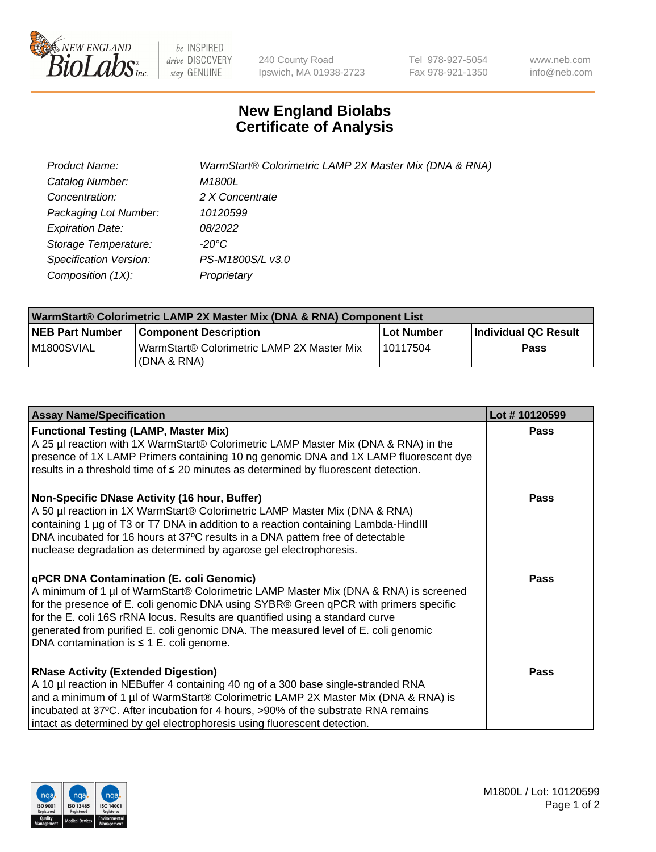

be INSPIRED drive DISCOVERY stay GENUINE

240 County Road Ipswich, MA 01938-2723 Tel 978-927-5054 Fax 978-921-1350 www.neb.com info@neb.com

## **New England Biolabs Certificate of Analysis**

| Product Name:           | WarmStart® Colorimetric LAMP 2X Master Mix (DNA & RNA) |
|-------------------------|--------------------------------------------------------|
| Catalog Number:         | M1800L                                                 |
| Concentration:          | 2 X Concentrate                                        |
| Packaging Lot Number:   | 10120599                                               |
| <b>Expiration Date:</b> | 08/2022                                                |
| Storage Temperature:    | -20°C                                                  |
| Specification Version:  | PS-M1800S/L v3.0                                       |
| Composition (1X):       | Proprietary                                            |

| WarmStart® Colorimetric LAMP 2X Master Mix (DNA & RNA) Component List |                                                           |                   |                      |  |
|-----------------------------------------------------------------------|-----------------------------------------------------------|-------------------|----------------------|--|
| <b>NEB Part Number</b>                                                | <b>Component Description</b>                              | <b>Lot Number</b> | Individual QC Result |  |
| M1800SVIAL                                                            | WarmStart® Colorimetric LAMP 2X Master Mix<br>(DNA & RNA) | 110117504         | Pass                 |  |

| <b>Assay Name/Specification</b>                                                                                                                                                                                                                                                                                                                                                                                                                  | Lot #10120599 |
|--------------------------------------------------------------------------------------------------------------------------------------------------------------------------------------------------------------------------------------------------------------------------------------------------------------------------------------------------------------------------------------------------------------------------------------------------|---------------|
| <b>Functional Testing (LAMP, Master Mix)</b><br>A 25 µl reaction with 1X WarmStart® Colorimetric LAMP Master Mix (DNA & RNA) in the<br>presence of 1X LAMP Primers containing 10 ng genomic DNA and 1X LAMP fluorescent dye<br>results in a threshold time of ≤ 20 minutes as determined by fluorescent detection.                                                                                                                               | <b>Pass</b>   |
| Non-Specific DNase Activity (16 hour, Buffer)<br>A 50 µl reaction in 1X WarmStart® Colorimetric LAMP Master Mix (DNA & RNA)<br>containing 1 µg of T3 or T7 DNA in addition to a reaction containing Lambda-HindIII<br>DNA incubated for 16 hours at 37°C results in a DNA pattern free of detectable<br>nuclease degradation as determined by agarose gel electrophoresis.                                                                       | <b>Pass</b>   |
| qPCR DNA Contamination (E. coli Genomic)<br>A minimum of 1 µl of WarmStart® Colorimetric LAMP Master Mix (DNA & RNA) is screened<br>for the presence of E. coli genomic DNA using SYBR® Green qPCR with primers specific<br>for the E. coli 16S rRNA locus. Results are quantified using a standard curve<br>generated from purified E. coli genomic DNA. The measured level of E. coli genomic<br>DNA contamination is $\leq$ 1 E. coli genome. | <b>Pass</b>   |
| <b>RNase Activity (Extended Digestion)</b><br>A 10 µl reaction in NEBuffer 4 containing 40 ng of a 300 base single-stranded RNA<br>and a minimum of 1 µl of WarmStart® Colorimetric LAMP 2X Master Mix (DNA & RNA) is<br>incubated at 37°C. After incubation for 4 hours, >90% of the substrate RNA remains<br>intact as determined by gel electrophoresis using fluorescent detection.                                                          | <b>Pass</b>   |